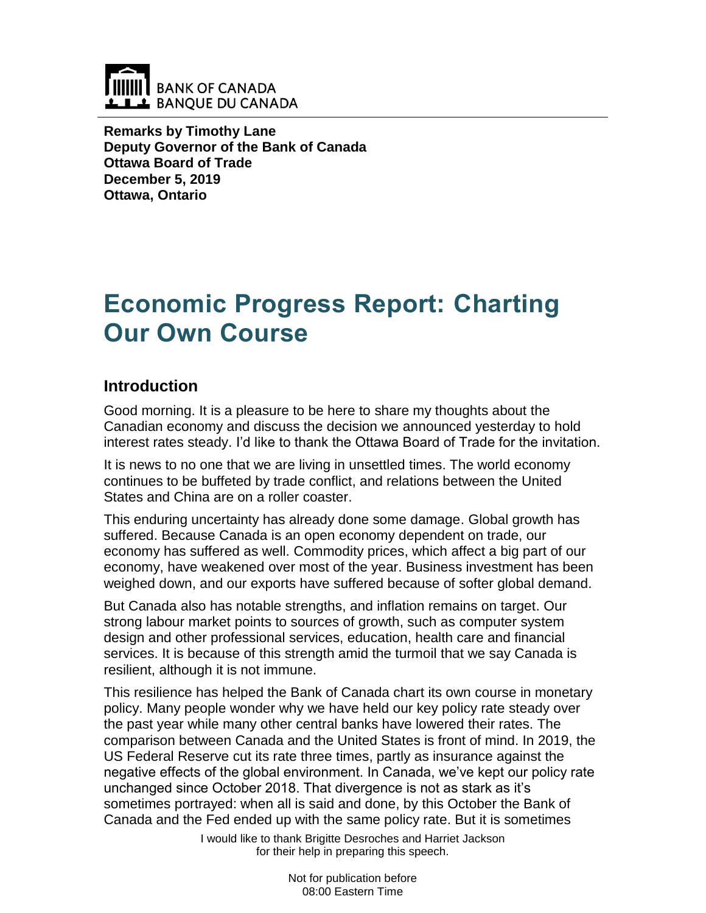

**Remarks by Timothy Lane Deputy Governor of the Bank of Canada Ottawa Board of Trade December 5, 2019 Ottawa, Ontario**

# **Economic Progress Report: Charting Our Own Course**

## **Introduction**

Good morning. It is a pleasure to be here to share my thoughts about the Canadian economy and discuss the decision we announced yesterday to hold interest rates steady. I'd like to thank the Ottawa Board of Trade for the invitation.

It is news to no one that we are living in unsettled times. The world economy continues to be buffeted by trade conflict, and relations between the United States and China are on a roller coaster.

This enduring uncertainty has already done some damage. Global growth has suffered. Because Canada is an open economy dependent on trade, our economy has suffered as well. Commodity prices, which affect a big part of our economy, have weakened over most of the year. Business investment has been weighed down, and our exports have suffered because of softer global demand.

But Canada also has notable strengths, and inflation remains on target. Our strong labour market points to sources of growth, such as computer system design and other professional services, education, health care and financial services. It is because of this strength amid the turmoil that we say Canada is resilient, although it is not immune.

This resilience has helped the Bank of Canada chart its own course in monetary policy. Many people wonder why we have held our key policy rate steady over the past year while many other central banks have lowered their rates. The comparison between Canada and the United States is front of mind. In 2019, the US Federal Reserve cut its rate three times, partly as insurance against the negative effects of the global environment. In Canada, we've kept our policy rate unchanged since October 2018. That divergence is not as stark as it's sometimes portrayed: when all is said and done, by this October the Bank of Canada and the Fed ended up with the same policy rate. But it is sometimes

I would like to thank Brigitte Desroches and Harriet Jackson for their help in preparing this speech.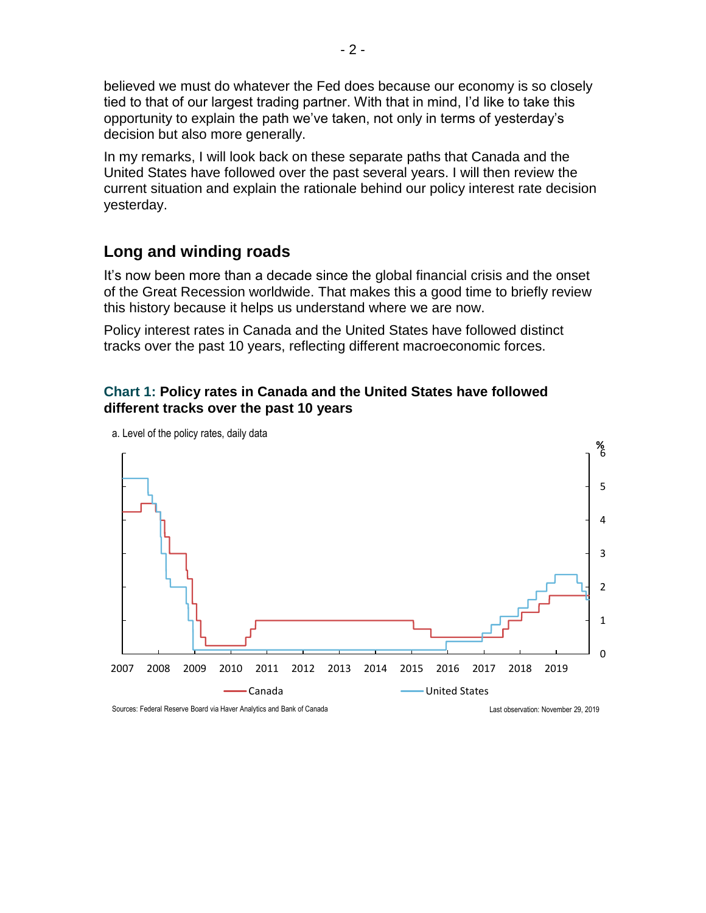believed we must do whatever the Fed does because our economy is so closely tied to that of our largest trading partner. With that in mind, I'd like to take this opportunity to explain the path we've taken, not only in terms of yesterday's decision but also more generally.

In my remarks, I will look back on these separate paths that Canada and the United States have followed over the past several years. I will then review the current situation and explain the rationale behind our policy interest rate decision yesterday.

### **Long and winding roads**

It's now been more than a decade since the global financial crisis and the onset of the Great Recession worldwide. That makes this a good time to briefly review this history because it helps us understand where we are now.

Policy interest rates in Canada and the United States have followed distinct tracks over the past 10 years, reflecting different macroeconomic forces.

#### **Chart 1: Policy rates in Canada and the United States have followed different tracks over the past 10 years**



a. Level of the policy rates, daily data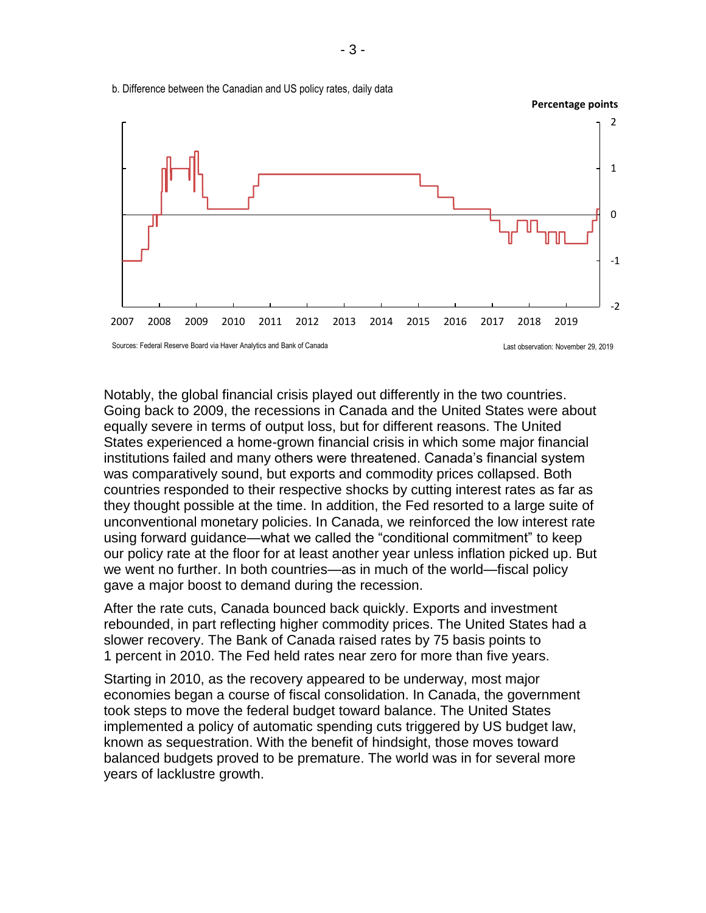

b. Difference between the Canadian and US policy rates, daily data

Notably, the global financial crisis played out differently in the two countries. Going back to 2009, the recessions in Canada and the United States were about equally severe in terms of output loss, but for different reasons. The United States experienced a home-grown financial crisis in which some major financial institutions failed and many others were threatened. Canada's financial system was comparatively sound, but exports and commodity prices collapsed. Both countries responded to their respective shocks by cutting interest rates as far as they thought possible at the time. In addition, the Fed resorted to a large suite of unconventional monetary policies. In Canada, we reinforced the low interest rate using forward guidance—what we called the "conditional commitment" to keep our policy rate at the floor for at least another year unless inflation picked up. But we went no further. In both countries—as in much of the world—fiscal policy gave a major boost to demand during the recession.

After the rate cuts, Canada bounced back quickly. Exports and investment rebounded, in part reflecting higher commodity prices. The United States had a slower recovery. The Bank of Canada raised rates by 75 basis points to 1 percent in 2010. The Fed held rates near zero for more than five years.

Starting in 2010, as the recovery appeared to be underway, most major economies began a course of fiscal consolidation. In Canada, the government took steps to move the federal budget toward balance. The United States implemented a policy of automatic spending cuts triggered by US budget law, known as sequestration. With the benefit of hindsight, those moves toward balanced budgets proved to be premature. The world was in for several more years of lacklustre growth.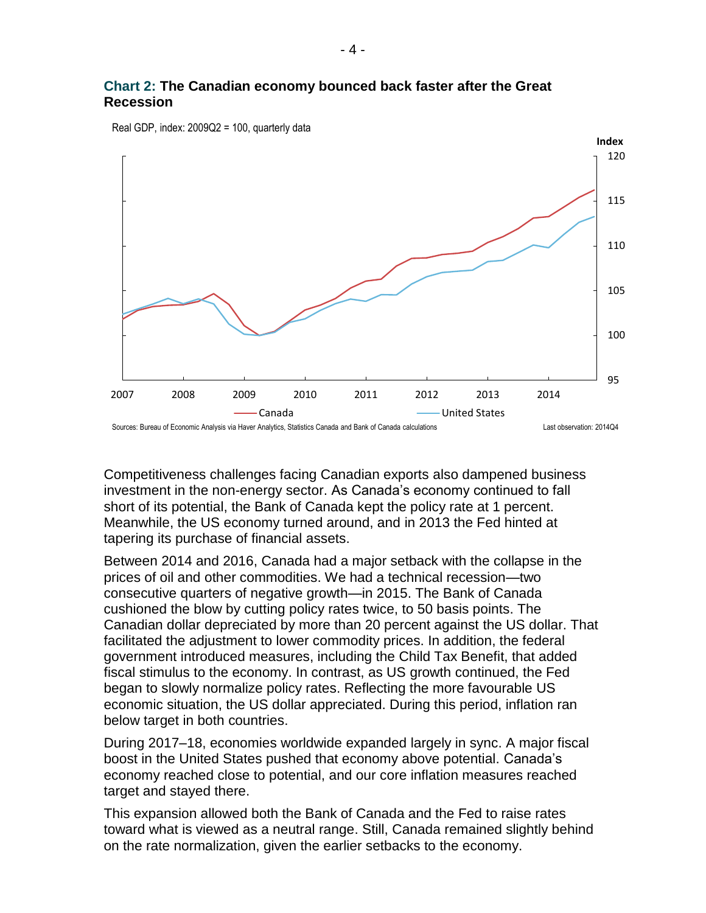#### **Chart 2: The Canadian economy bounced back faster after the Great Recession**



Real GDP, index: 2009Q2 = 100, quarterly data

Competitiveness challenges facing Canadian exports also dampened business investment in the non-energy sector. As Canada's economy continued to fall short of its potential, the Bank of Canada kept the policy rate at 1 percent. Meanwhile, the US economy turned around, and in 2013 the Fed hinted at tapering its purchase of financial assets.

Between 2014 and 2016, Canada had a major setback with the collapse in the prices of oil and other commodities. We had a technical recession—two consecutive quarters of negative growth—in 2015. The Bank of Canada cushioned the blow by cutting policy rates twice, to 50 basis points. The Canadian dollar depreciated by more than 20 percent against the US dollar. That facilitated the adjustment to lower commodity prices. In addition, the federal government introduced measures, including the Child Tax Benefit, that added fiscal stimulus to the economy. In contrast, as US growth continued, the Fed began to slowly normalize policy rates. Reflecting the more favourable US economic situation, the US dollar appreciated. During this period, inflation ran below target in both countries.

During 2017–18, economies worldwide expanded largely in sync. A major fiscal boost in the United States pushed that economy above potential. Canada's economy reached close to potential, and our core inflation measures reached target and stayed there.

This expansion allowed both the Bank of Canada and the Fed to raise rates toward what is viewed as a neutral range. Still, Canada remained slightly behind on the rate normalization, given the earlier setbacks to the economy.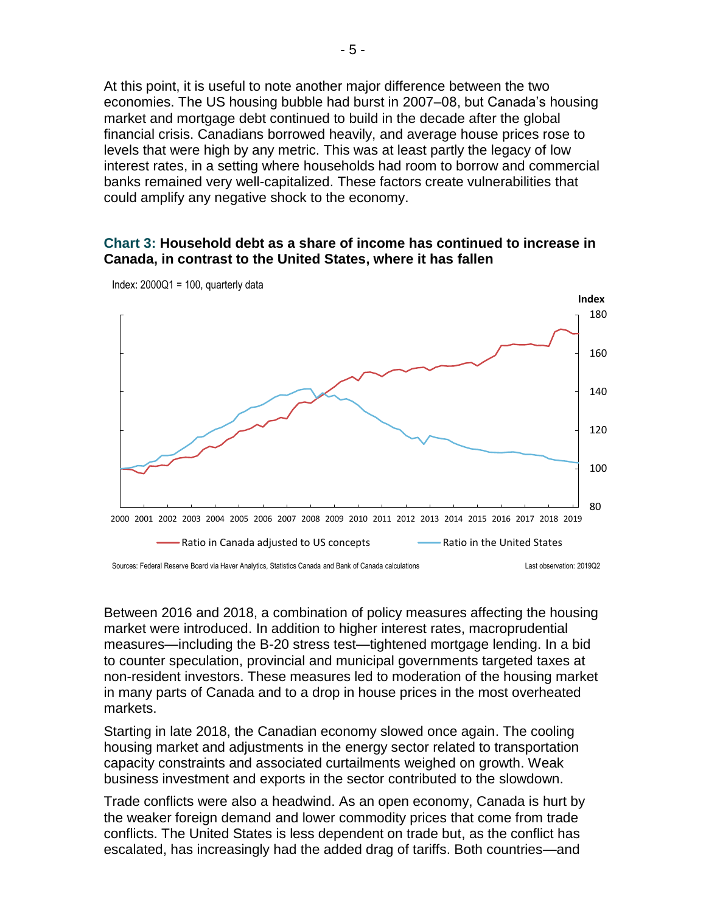At this point, it is useful to note another major difference between the two economies. The US housing bubble had burst in 2007–08, but Canada's housing market and mortgage debt continued to build in the decade after the global financial crisis. Canadians borrowed heavily, and average house prices rose to levels that were high by any metric. This was at least partly the legacy of low interest rates, in a setting where households had room to borrow and commercial banks remained very well-capitalized. These factors create vulnerabilities that could amplify any negative shock to the economy.

#### **Chart 3: Household debt as a share of income has continued to increase in Canada, in contrast to the United States, where it has fallen**



Index:  $2000Q1 = 100$ , quarterly data

Between 2016 and 2018, a combination of policy measures affecting the housing market were introduced. In addition to higher interest rates, macroprudential measures—including the B-20 stress test—tightened mortgage lending. In a bid to counter speculation, provincial and municipal governments targeted taxes at non-resident investors. These measures led to moderation of the housing market in many parts of Canada and to a drop in house prices in the most overheated markets.

Starting in late 2018, the Canadian economy slowed once again. The cooling housing market and adjustments in the energy sector related to transportation capacity constraints and associated curtailments weighed on growth. Weak business investment and exports in the sector contributed to the slowdown.

Trade conflicts were also a headwind. As an open economy, Canada is hurt by the weaker foreign demand and lower commodity prices that come from trade conflicts. The United States is less dependent on trade but, as the conflict has escalated, has increasingly had the added drag of tariffs. Both countries—and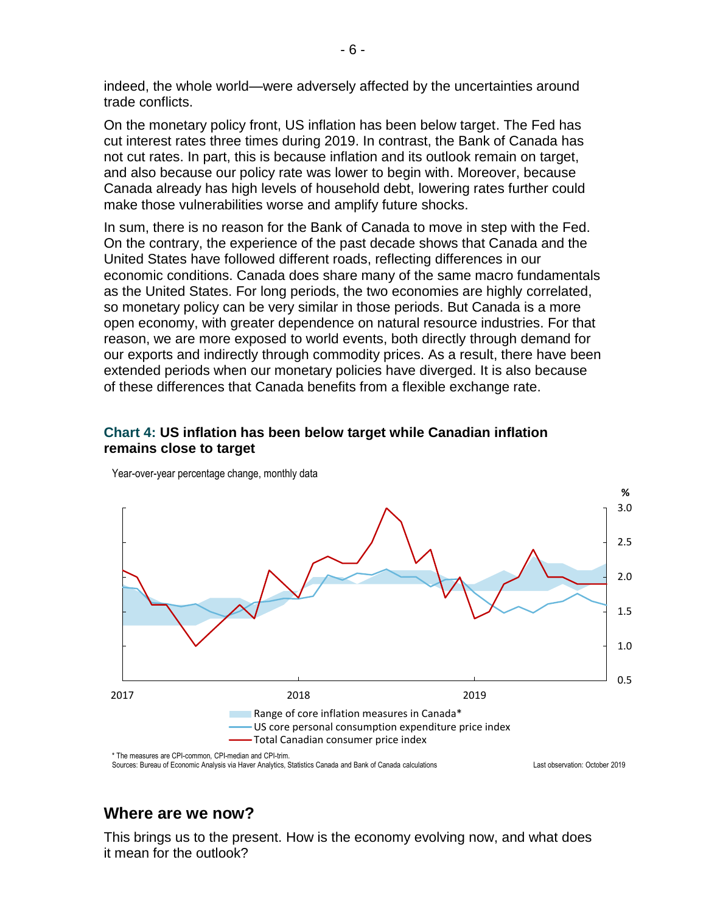indeed, the whole world—were adversely affected by the uncertainties around trade conflicts.

On the monetary policy front, US inflation has been below target. The Fed has cut interest rates three times during 2019. In contrast, the Bank of Canada has not cut rates. In part, this is because inflation and its outlook remain on target, and also because our policy rate was lower to begin with. Moreover, because Canada already has high levels of household debt, lowering rates further could make those vulnerabilities worse and amplify future shocks.

In sum, there is no reason for the Bank of Canada to move in step with the Fed. On the contrary, the experience of the past decade shows that Canada and the United States have followed different roads, reflecting differences in our economic conditions. Canada does share many of the same macro fundamentals as the United States. For long periods, the two economies are highly correlated, so monetary policy can be very similar in those periods. But Canada is a more open economy, with greater dependence on natural resource industries. For that reason, we are more exposed to world events, both directly through demand for our exports and indirectly through commodity prices. As a result, there have been extended periods when our monetary policies have diverged. It is also because of these differences that Canada benefits from a flexible exchange rate.

#### **Chart 4: US inflation has been below target while Canadian inflation remains close to target**



Year-over-year percentage change, monthly data

## **Where are we now?**

This brings us to the present. How is the economy evolving now, and what does it mean for the outlook?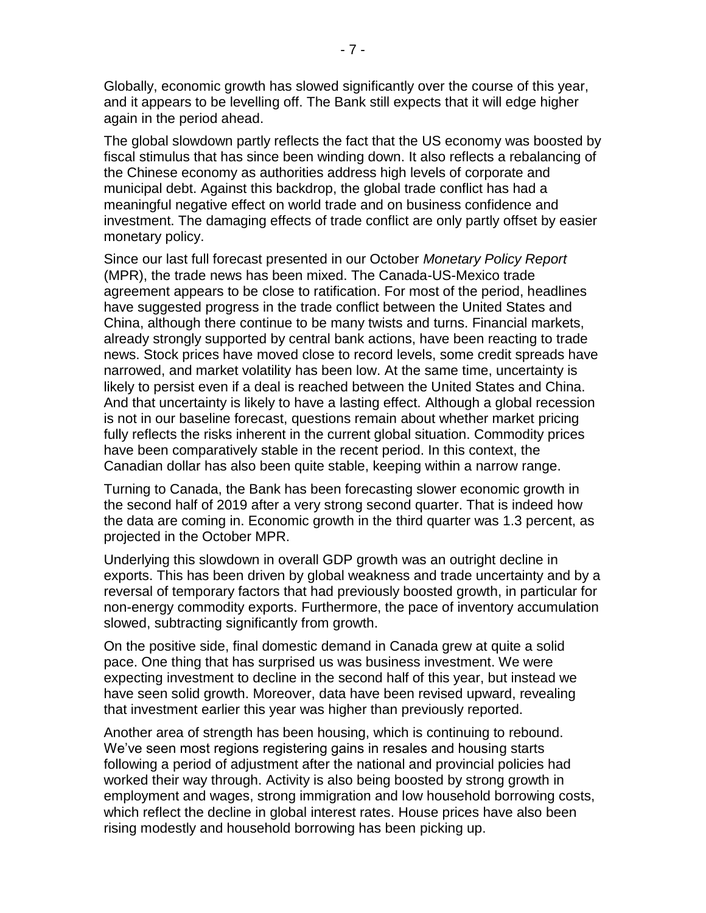Globally, economic growth has slowed significantly over the course of this year, and it appears to be levelling off. The Bank still expects that it will edge higher again in the period ahead.

The global slowdown partly reflects the fact that the US economy was boosted by fiscal stimulus that has since been winding down. It also reflects a rebalancing of the Chinese economy as authorities address high levels of corporate and municipal debt. Against this backdrop, the global trade conflict has had a meaningful negative effect on world trade and on business confidence and investment. The damaging effects of trade conflict are only partly offset by easier monetary policy.

Since our last full forecast presented in our October *Monetary Policy Report* (MPR), the trade news has been mixed. The Canada-US-Mexico trade agreement appears to be close to ratification. For most of the period, headlines have suggested progress in the trade conflict between the United States and China, although there continue to be many twists and turns. Financial markets, already strongly supported by central bank actions, have been reacting to trade news. Stock prices have moved close to record levels, some credit spreads have narrowed, and market volatility has been low. At the same time, uncertainty is likely to persist even if a deal is reached between the United States and China. And that uncertainty is likely to have a lasting effect. Although a global recession is not in our baseline forecast, questions remain about whether market pricing fully reflects the risks inherent in the current global situation. Commodity prices have been comparatively stable in the recent period. In this context, the Canadian dollar has also been quite stable, keeping within a narrow range.

Turning to Canada, the Bank has been forecasting slower economic growth in the second half of 2019 after a very strong second quarter. That is indeed how the data are coming in. Economic growth in the third quarter was 1.3 percent, as projected in the October MPR.

Underlying this slowdown in overall GDP growth was an outright decline in exports. This has been driven by global weakness and trade uncertainty and by a reversal of temporary factors that had previously boosted growth, in particular for non-energy commodity exports. Furthermore, the pace of inventory accumulation slowed, subtracting significantly from growth.

On the positive side, final domestic demand in Canada grew at quite a solid pace. One thing that has surprised us was business investment. We were expecting investment to decline in the second half of this year, but instead we have seen solid growth. Moreover, data have been revised upward, revealing that investment earlier this year was higher than previously reported.

Another area of strength has been housing, which is continuing to rebound. We've seen most regions registering gains in resales and housing starts following a period of adjustment after the national and provincial policies had worked their way through. Activity is also being boosted by strong growth in employment and wages, strong immigration and low household borrowing costs, which reflect the decline in global interest rates. House prices have also been rising modestly and household borrowing has been picking up.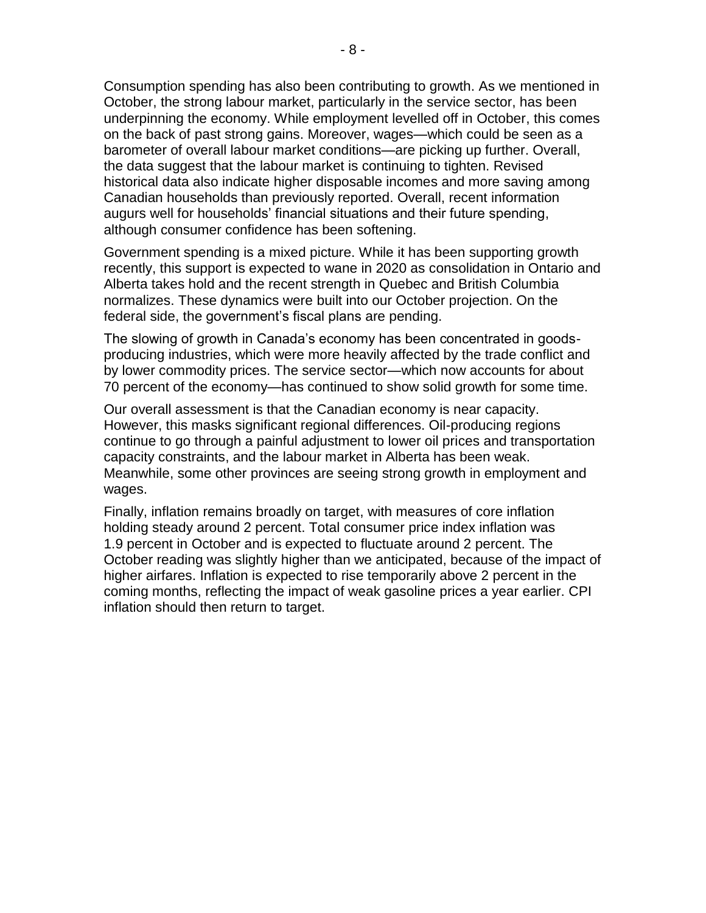Consumption spending has also been contributing to growth. As we mentioned in October, the strong labour market, particularly in the service sector, has been underpinning the economy. While employment levelled off in October, this comes on the back of past strong gains. Moreover, wages—which could be seen as a barometer of overall labour market conditions—are picking up further. Overall, the data suggest that the labour market is continuing to tighten. Revised historical data also indicate higher disposable incomes and more saving among Canadian households than previously reported. Overall, recent information augurs well for households' financial situations and their future spending, although consumer confidence has been softening.

Government spending is a mixed picture. While it has been supporting growth recently, this support is expected to wane in 2020 as consolidation in Ontario and Alberta takes hold and the recent strength in Quebec and British Columbia normalizes. These dynamics were built into our October projection. On the federal side, the government's fiscal plans are pending.

The slowing of growth in Canada's economy has been concentrated in goodsproducing industries, which were more heavily affected by the trade conflict and by lower commodity prices. The service sector—which now accounts for about 70 percent of the economy—has continued to show solid growth for some time.

Our overall assessment is that the Canadian economy is near capacity. However, this masks significant regional differences. Oil-producing regions continue to go through a painful adjustment to lower oil prices and transportation capacity constraints, and the labour market in Alberta has been weak. Meanwhile, some other provinces are seeing strong growth in employment and wages.

Finally, inflation remains broadly on target, with measures of core inflation holding steady around 2 percent. Total consumer price index inflation was 1.9 percent in October and is expected to fluctuate around 2 percent. The October reading was slightly higher than we anticipated, because of the impact of higher airfares. Inflation is expected to rise temporarily above 2 percent in the coming months, reflecting the impact of weak gasoline prices a year earlier. CPI inflation should then return to target.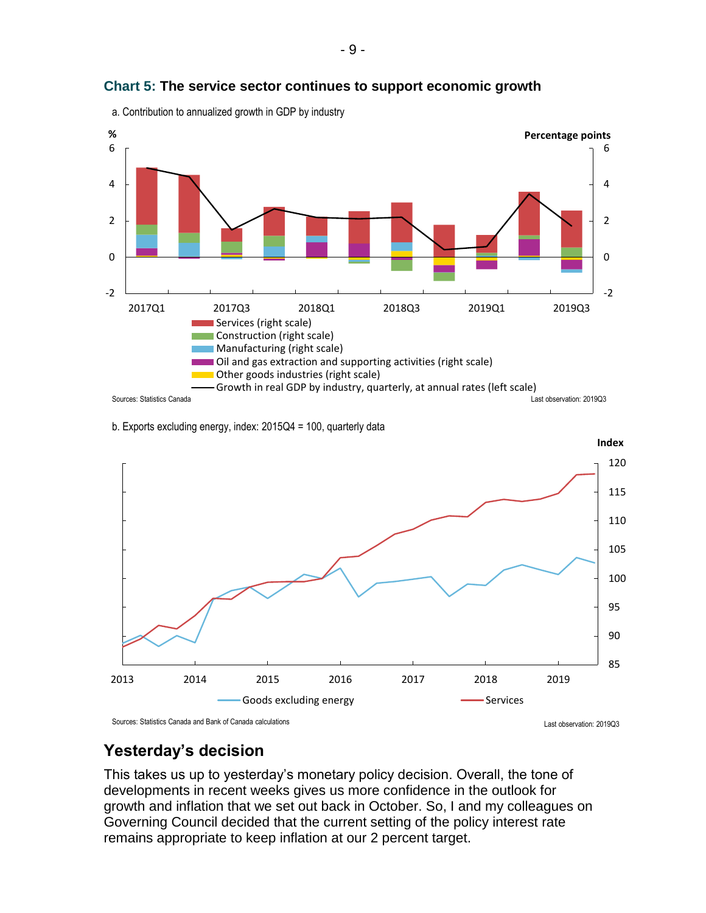

#### **Chart 5: The service sector continues to support economic growth**

a. Contribution to annualized growth in GDP by industry





Last observation: 2019Q3 Sources: Statistics Canada and Bank of Canada calculations

## **Yesterday's decision**

This takes us up to yesterday's monetary policy decision. Overall, the tone of developments in recent weeks gives us more confidence in the outlook for growth and inflation that we set out back in October. So, I and my colleagues on Governing Council decided that the current setting of the policy interest rate remains appropriate to keep inflation at our 2 percent target.